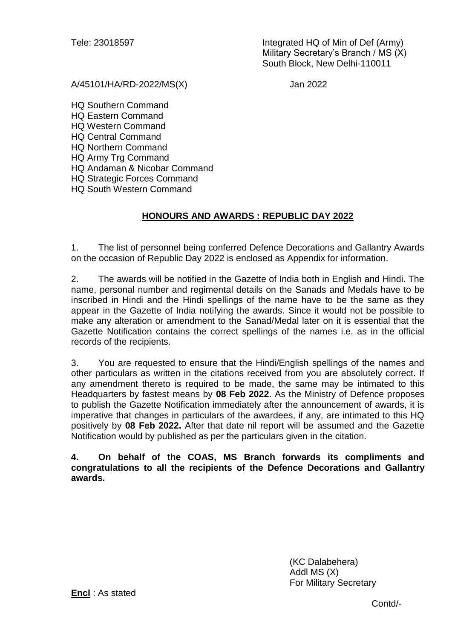Tele: 23018597 Integrated HQ of Min of Def (Army) Military Secretary's Branch / MS (X) South Block, New Delhi-110011

A/45101/HA/RD-2022/MS(X) Jan 2022

HQ Southern Command HQ Eastern Command HQ Western Command HQ Central Command HQ Northern Command HQ Army Trg Command HQ Andaman & Nicobar Command HQ Strategic Forces Command HQ South Western Command

# **HONOURS AND AWARDS : REPUBLIC DAY 2022**

1. The list of personnel being conferred Defence Decorations and Gallantry Awards on the occasion of Republic Day 2022 is enclosed as Appendix for information.

2. The awards will be notified in the Gazette of India both in English and Hindi. The name, personal number and regimental details on the Sanads and Medals have to be inscribed in Hindi and the Hindi spellings of the name have to be the same as they appear in the Gazette of India notifying the awards. Since it would not be possible to make any alteration or amendment to the Sanad/Medal later on it is essential that the Gazette Notification contains the correct spellings of the names i.e. as in the official records of the recipients.

3. You are requested to ensure that the Hindi/English spellings of the names and other particulars as written in the citations received from you are absolutely correct. If any amendment thereto is required to be made, the same may be intimated to this Headquarters by fastest means by **08 Feb 2022**. As the Ministry of Defence proposes to publish the Gazette Notification immediately after the announcement of awards, it is imperative that changes in particulars of the awardees, if any, are intimated to this HQ positively by **08 Feb 2022.** After that date nil report will be assumed and the Gazette Notification would by published as per the particulars given in the citation.

**4. On behalf of the COAS, MS Branch forwards its compliments and congratulations to all the recipients of the Defence Decorations and Gallantry awards.** 

> (KC Dalabehera) Addl MS (X) For Military Secretary

**Encl** : As stated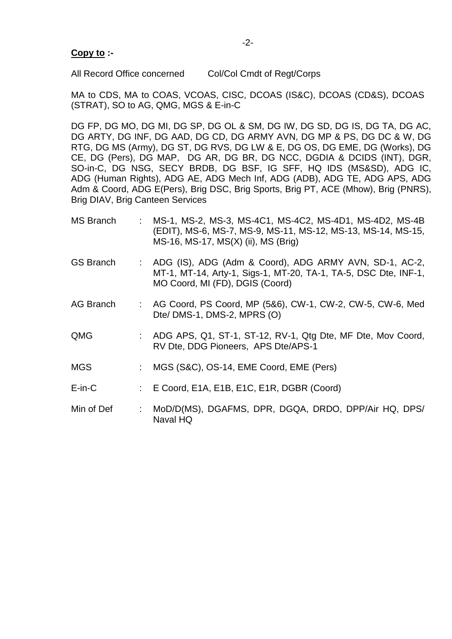# **Copy to :-**

All Record Office concerned Col/Col Cmdt of Regt/Corps

MA to CDS, MA to COAS, VCOAS, CISC, DCOAS (IS&C), DCOAS (CD&S), DCOAS (STRAT), SO to AG, QMG, MGS & E-in-C

DG FP, DG MO, DG MI, DG SP, DG OL & SM, DG IW, DG SD, DG IS, DG TA, DG AC, DG ARTY, DG INF, DG AAD, DG CD, DG ARMY AVN, DG MP & PS, DG DC & W, DG RTG, DG MS (Army), DG ST, DG RVS, DG LW & E, DG OS, DG EME, DG (Works), DG CE, DG (Pers), DG MAP, DG AR, DG BR, DG NCC, DGDIA & DCIDS (INT), DGR, SO-in-C, DG NSG, SECY BRDB, DG BSF, IG SFF, HQ IDS (MS&SD), ADG IC, ADG (Human Rights), ADG AE, ADG Mech Inf, ADG (ADB), ADG TE, ADG APS, ADG Adm & Coord, ADG E(Pers), Brig DSC, Brig Sports, Brig PT, ACE (Mhow), Brig (PNRS), Brig DIAV, Brig Canteen Services

- MS Branch : MS-1, MS-2, MS-3, MS-4C1, MS-4C2, MS-4D1, MS-4D2, MS-4B (EDIT), MS-6, MS-7, MS-9, MS-11, MS-12, MS-13, MS-14, MS-15, MS-16, MS-17, MS(X) (ii), MS (Brig)
- GS Branch : ADG (IS), ADG (Adm & Coord), ADG ARMY AVN, SD-1, AC-2, MT-1, MT-14, Arty-1, Sigs-1, MT-20, TA-1, TA-5, DSC Dte, INF-1, MO Coord, MI (FD), DGIS (Coord)
- AG Branch : AG Coord, PS Coord, MP (5&6), CW-1, CW-2, CW-5, CW-6, Med Dte/ DMS-1, DMS-2, MPRS (O)
- QMG : ADG APS, Q1, ST-1, ST-12, RV-1, Qtg Dte, MF Dte, Mov Coord, RV Dte, DDG Pioneers, APS Dte/APS-1
- MGS : MGS (S&C), OS-14, EME Coord, EME (Pers)
- E-in-C : E Coord, E1A, E1B, E1C, E1R, DGBR (Coord)
- Min of Def : MoD/D(MS), DGAFMS, DPR, DGQA, DRDO, DPP/Air HQ, DPS/ Naval HQ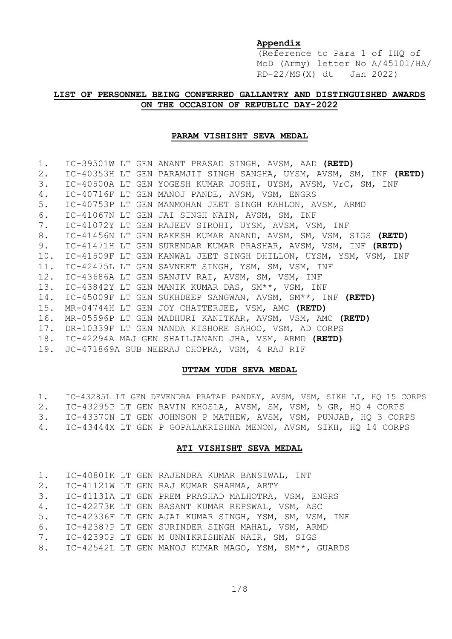## **Appendix**

(Reference to Para 1 of IHQ of MoD (Army) letter No A/45101/HA/ RD-22/MS(X) dt Jan 2022)

## **LIST OF PERSONNEL BEING CONFERRED GALLANTRY AND DISTINGUISHED AWARDS ON THE OCCASION OF REPUBLIC DAY-2022**

### **PARAM VISHISHT SEVA MEDAL**

| 1.  |  | IC-39501W LT GEN ANANT PRASAD SINGH, AVSM, AAD (RETD)              |
|-----|--|--------------------------------------------------------------------|
| 2.  |  | IC-40353H LT GEN PARAMJIT SINGH SANGHA, UYSM, AVSM, SM, INF (RETD) |
| 3.  |  | IC-40500A LT GEN YOGESH KUMAR JOSHI, UYSM, AVSM, VrC, SM, INF      |
| 4.  |  | IC-40716F LT GEN MANOJ PANDE, AVSM, VSM, ENGRS                     |
| 5.  |  | IC-40753P LT GEN MANMOHAN JEET SINGH KAHLON, AVSM, ARMD            |
| 6.  |  | IC-41067N LT GEN JAI SINGH NAIN, AVSM, SM, INF                     |
| 7.  |  | IC-41072Y LT GEN RAJEEV SIROHI, UYSM, AVSM, VSM, INF               |
| 8.  |  | IC-41456N LT GEN RAKESH KUMAR ANAND, AVSM, SM, VSM, SIGS (RETD)    |
| 9.  |  | IC-41471H LT GEN SURENDAR KUMAR PRASHAR, AVSM, VSM, INF (RETD)     |
| 10. |  | IC-41509F LT GEN KANWAL JEET SINGH DHILLON, UYSM, YSM, VSM, INF    |
|     |  | 11. IC-42475L LT GEN SAVNEET SINGH, YSM, SM, VSM, INF              |
|     |  | 12. IC-43686A LT GEN SANJIV RAI, AVSM, SM, VSM, INF                |
|     |  | 13. IC-43842Y LT GEN MANIK KUMAR DAS, SM**, VSM, INF               |
|     |  | 14. IC-45009F LT GEN SUKHDEEP SANGWAN, AVSM, SM**, INF (RETD)      |
| 15. |  | MR-04744H LT GEN JOY CHATTERJEE, VSM, AMC (RETD)                   |
| 16. |  | MR-05596P LT GEN MADHURI KANITKAR, AVSM, VSM, AMC (RETD)           |
|     |  | 17. DR-10339F LT GEN NANDA KISHORE SAHOO, VSM, AD CORPS            |
|     |  | 18. IC-42294A MAJ GEN SHAILJANAND JHA, VSM, ARMD (RETD)            |
|     |  | 19. JC-471869A SUB NEERAJ CHOPRA, VSM, 4 RAJ RIF                   |

#### **UTTAM YUDH SEVA MEDAL**

|                                                                     |  |  |  | 1. IC-43285L LT GEN DEVENDRA PRATAP PANDEY, AVSM, VSM, SIKH LI, HQ 15 CORPS |
|---------------------------------------------------------------------|--|--|--|-----------------------------------------------------------------------------|
| 2. IC-43295P LT GEN RAVIN KHOSLA, AVSM, SM, VSM, 5 GR, HQ 4 CORPS   |  |  |  |                                                                             |
| 3. IC-43370N LT GEN JOHNSON P MATHEW, AVSM, VSM, PUNJAB, HQ 3 CORPS |  |  |  |                                                                             |
| 4. IC-43444X LT GEN P GOPALAKRISHNA MENON, AVSM, SIKH, HQ 14 CORPS  |  |  |  |                                                                             |

### **ATI VISHISHT SEVA MEDAL**

|    |  | 1. IC-40801K LT GEN RAJENDRA KUMAR BANSIWAL, INT        |
|----|--|---------------------------------------------------------|
|    |  | 2. IC-41121W LT GEN RAJ KUMAR SHARMA, ARTY              |
| 3. |  | IC-41131A LT GEN PREM PRASHAD MALHOTRA, VSM, ENGRS      |
|    |  | 4. IC-42273K LT GEN BASANT KUMAR REPSWAL, VSM, ASC      |
|    |  | 5. IC-42336F LT GEN AJAI KUMAR SINGH, YSM, SM, VSM, INF |
|    |  | 6. IC-42387P LT GEN SURINDER SINGH MAHAL, VSM, ARMD     |
|    |  | 7. IC-42390P LT GEN M UNNIKRISHNAN NAIR, SM, SIGS       |
|    |  | 8. IC-42542L LT GEN MANOJ KUMAR MAGO, YSM, SM**, GUARDS |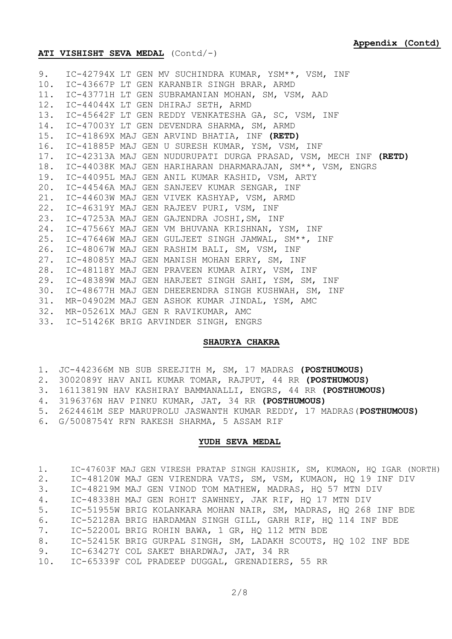### **ATI VISHISHT SEVA MEDAL** (Contd/-)

|     | 9. IC-42794X LT GEN MV SUCHINDRA KUMAR, YSM**, VSM, INF             |
|-----|---------------------------------------------------------------------|
|     | 10. IC-43667P LT GEN KARANBIR SINGH BRAR, ARMD                      |
|     | 11. IC-43771H LT GEN SUBRAMANIAN MOHAN, SM, VSM, AAD                |
|     | 12. IC-44044X LT GEN DHIRAJ SETH, ARMD                              |
|     | 13. IC-45642F LT GEN REDDY VENKATESHA GA, SC, VSM, INF              |
|     | 14. IC-47003Y LT GEN DEVENDRA SHARMA, SM, ARMD                      |
|     | 15. IC-41869X MAJ GEN ARVIND BHATIA, INF (RETD)                     |
|     | 16. IC-41885P MAJ GEN U SURESH KUMAR, YSM, VSM, INF                 |
|     | 17. IC-42313A MAJ GEN NUDURUPATI DURGA PRASAD, VSM, MECH INF (RETD) |
|     | 18. IC-44038K MAJ GEN HARIHARAN DHARMARAJAN, SM**, VSM, ENGRS       |
|     | 19. IC-44095L MAJ GEN ANIL KUMAR KASHID, VSM, ARTY                  |
|     | 20. IC-44546A MAJ GEN SANJEEV KUMAR SENGAR, INF                     |
|     | 21. IC-44603W MAJ GEN VIVEK KASHYAP, VSM, ARMD                      |
|     | 22. IC-46319Y MAJ GEN RAJEEV PURI, VSM, INF                         |
|     | 23. IC-47253A MAJ GEN GAJENDRA JOSHI, SM, INF                       |
|     | 24. IC-47566Y MAJ GEN VM BHUVANA KRISHNAN, YSM, INF                 |
|     | 25. IC-47646W MAJ GEN GULJEET SINGH JAMWAL, SM**, INF               |
|     | 26. IC-48067W MAJ GEN RASHIM BALI, SM, VSM, INF                     |
|     | 27. IC-48085Y MAJ GEN MANISH MOHAN ERRY, SM, INF                    |
|     | 28. IC-48118Y MAJ GEN PRAVEEN KUMAR AIRY, VSM, INF                  |
|     | 29. IC-48389W MAJ GEN HARJEET SINGH SAHI, YSM, SM, INF              |
|     | 30. IC-48677H MAJ GEN DHEERENDRA SINGH KUSHWAH, SM, INF             |
| 31. | MR-04902M MAJ GEN ASHOK KUMAR JINDAL, YSM, AMC                      |
|     | 32. MR-05261X MAJ GEN R RAVIKUMAR, AMC                              |
|     | 33. IC-51426K BRIG ARVINDER SINGH, ENGRS                            |
|     |                                                                     |

### **SHAURYA CHAKRA**

|  |  |  |  |  | 1. JC-442366M NB SUB SREEJITH M, SM, 17 MADRAS (POSTHUMOUS)  |
|--|--|--|--|--|--------------------------------------------------------------|
|  |  |  |  |  | 2. 3002089Y HAV ANIL KUMAR TOMAR, RAJPUT, 44 RR (POSTHUMOUS) |

- 3. 16113819N HAV KASHIRAY BAMMANALLI, ENGRS, 44 RR **(POSTHUMOUS)**
- 4. 3196376N HAV PINKU KUMAR, JAT, 34 RR **(POSTHUMOUS)**
- 5. 2624461M SEP MARUPROLU JASWANTH KUMAR REDDY, 17 MADRAS(**POSTHUMOUS)**
- 6. G/5008754Y RFN RAKESH SHARMA, 5 ASSAM RIF

### **YUDH SEVA MEDAL**

| 1. | IC-47603F MAJ GEN VIRESH PRATAP SINGH KAUSHIK, SM, KUMAON, HQ IGAR (NORTH) |
|----|----------------------------------------------------------------------------|
| 2. | IC-48120W MAJ GEN VIRENDRA VATS, SM, VSM, KUMAON, HQ 19 INF DIV            |
| 3. | IC-48219M MAJ GEN VINOD TOM MATHEW, MADRAS, HQ 57 MTN DIV                  |
| 4. | IC-48338H MAJ GEN ROHIT SAWHNEY, JAK RIF, HQ 17 MTN DIV                    |
| 5. | IC-51955W BRIG KOLANKARA MOHAN NAIR, SM, MADRAS, HQ 268 INF BDE            |
| 6. | IC-52128A BRIG HARDAMAN SINGH GILL, GARH RIF, HQ 114 INF BDE               |
| 7. | IC-52200L BRIG ROHIN BAWA, 1 GR, HQ 112 MTN BDE                            |
| 8. | IC-52415K BRIG GURPAL SINGH, SM, LADAKH SCOUTS, HO 102 INF BDE             |
| 9. | IC-63427Y COL SAKET BHARDWAJ, JAT, 34 RR                                   |
|    | 10. IC-65339F COL PRADEEP DUGGAL, GRENADIERS, 55 RR                        |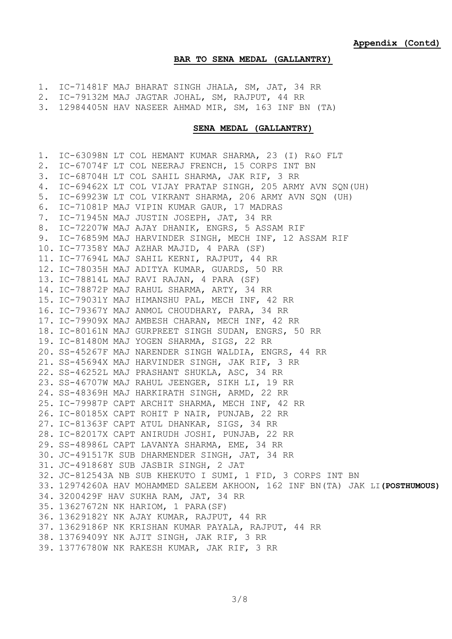#### **BAR TO SENA MEDAL (GALLANTRY)**

|  | 1. IC-71481F MAJ BHARAT SINGH JHALA, SM, JAT, 34 RR |  |  |  |  |  |  |  |  |
|--|-----------------------------------------------------|--|--|--|--|--|--|--|--|
|--|-----------------------------------------------------|--|--|--|--|--|--|--|--|

2. IC-79132M MAJ JAGTAR JOHAL, SM, RAJPUT, 44 RR

3. 12984405N HAV NASEER AHMAD MIR, SM, 163 INF BN (TA)

### **SENA MEDAL (GALLANTRY)**

1. IC-63098N LT COL HEMANT KUMAR SHARMA, 23 (I) R&O FLT 2. IC-67074F LT COL NEERAJ FRENCH, 15 CORPS INT BN 3. IC-68704H LT COL SAHIL SHARMA, JAK RIF, 3 RR 4. IC-69462X LT COL VIJAY PRATAP SINGH, 205 ARMY AVN SQN(UH) 5. IC-69923W LT COL VIKRANT SHARMA, 206 ARMY AVN SQN (UH) 6. IC-71081P MAJ VIPIN KUMAR GAUR, 17 MADRAS 7. IC-71945N MAJ JUSTIN JOSEPH, JAT, 34 RR 8. IC-72207W MAJ AJAY DHANIK, ENGRS, 5 ASSAM RIF 9. IC-76859M MAJ HARVINDER SINGH, MECH INF, 12 ASSAM RIF 10. IC-77358Y MAJ AZHAR MAJID, 4 PARA (SF) 11. IC-77694L MAJ SAHIL KERNI, RAJPUT, 44 RR 12. IC-78035H MAJ ADITYA KUMAR, GUARDS, 50 RR 13. IC-78814L MAJ RAVI RAJAN, 4 PARA (SF) 14. IC-78872P MAJ RAHUL SHARMA, ARTY, 34 RR 15. IC-79031Y MAJ HIMANSHU PAL, MECH INF, 42 RR 16. IC-79367Y MAJ ANMOL CHOUDHARY, PARA, 34 RR 17. IC-79909X MAJ AMBESH CHARAN, MECH INF, 42 RR 18. IC-80161N MAJ GURPREET SINGH SUDAN, ENGRS, 50 RR 19. IC-81480M MAJ YOGEN SHARMA, SIGS, 22 RR 20. SS-45267F MAJ NARENDER SINGH WALDIA, ENGRS, 44 RR 21. SS-45694X MAJ HARVINDER SINGH, JAK RIF, 3 RR 22. SS-46252L MAJ PRASHANT SHUKLA, ASC, 34 RR 23. SS-46707W MAJ RAHUL JEENGER, SIKH LI, 19 RR 24. SS-48369H MAJ HARKIRATH SINGH, ARMD, 22 RR 25. IC-79987P CAPT ARCHIT SHARMA, MECH INF, 42 RR 26. IC-80185X CAPT ROHIT P NAIR, PUNJAB, 22 RR 27. IC-81363F CAPT ATUL DHANKAR, SIGS, 34 RR 28. IC-82017X CAPT ANIRUDH JOSHI, PUNJAB, 22 RR 29. SS-48986L CAPT LAVANYA SHARMA, EME, 34 RR 30. JC-491517K SUB DHARMENDER SINGH, JAT, 34 RR 31. JC-491868Y SUB JASBIR SINGH, 2 JAT 32. JC-812543A NB SUB KHEKUTO I SUMI, 1 FID, 3 CORPS INT BN 33. 12974260A HAV MOHAMMED SALEEM AKHOON, 162 INF BN(TA) JAK LI**(POSTHUMOUS)** 34. 3200429F HAV SUKHA RAM, JAT, 34 RR 35. 13627672N NK HARIOM, 1 PARA(SF) 36. 13629182Y NK AJAY KUMAR, RAJPUT, 44 RR 37. 13629186P NK KRISHAN KUMAR PAYALA, RAJPUT, 44 RR 38. 13769409Y NK AJIT SINGH, JAK RIF, 3 RR 39. 13776780W NK RAKESH KUMAR, JAK RIF, 3 RR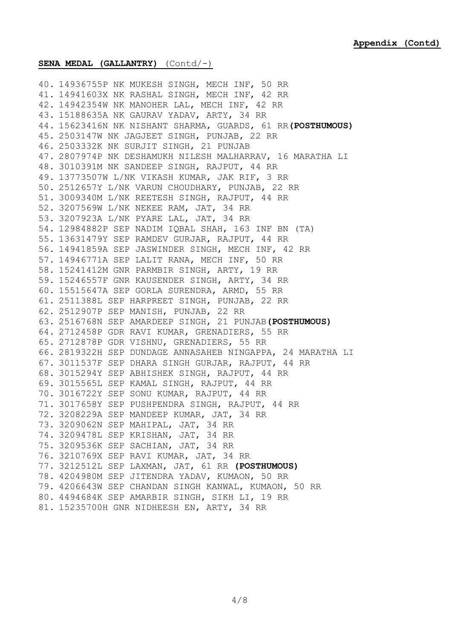### **SENA MEDAL (GALLANTRY)** (Contd/-)

40. 14936755P NK MUKESH SINGH, MECH INF, 50 RR 41. 14941603X NK RASHAL SINGH, MECH INF, 42 RR 42. 14942354W NK MANOHER LAL, MECH INF, 42 RR 43. 15188635A NK GAURAV YADAV, ARTY, 34 RR 44. 15623416N NK NISHANT SHARMA, GUARDS, 61 RR**(POSTHUMOUS)** 45. 2503147W NK JAGJEET SINGH, PUNJAB, 22 RR 46. 2503332K NK SURJIT SINGH, 21 PUNJAB 47. 2807974P NK DESHAMUKH NILESH MALHARRAV, 16 MARATHA LI 48. 3010391M NK SANDEEP SINGH, RAJPUT, 44 RR 49. 13773507W L/NK VIKASH KUMAR, JAK RIF, 3 RR 50. 2512657Y L/NK VARUN CHOUDHARY, PUNJAB, 22 RR 51. 3009340M L/NK REETESH SINGH, RAJPUT, 44 RR 52. 3207569W L/NK NEKEE RAM, JAT, 34 RR 53. 3207923A L/NK PYARE LAL, JAT, 34 RR 54. 12984882P SEP NADIM IQBAL SHAH, 163 INF BN (TA) 55. 13631479Y SEP RAMDEV GURJAR, RAJPUT, 44 RR 56. 14941859A SEP JASWINDER SINGH, MECH INF, 42 RR 57. 14946771A SEP LALIT RANA, MECH INF, 50 RR 58. 15241412M GNR PARMBIR SINGH, ARTY, 19 RR 59. 15246557F GNR KAUSENDER SINGH, ARTY, 34 RR 60. 15515647A SEP GORLA SURENDRA, ARMD, 55 RR 61. 2511388L SEP HARPREET SINGH, PUNJAB, 22 RR 62. 2512907P SEP MANISH, PUNJAB, 22 RR 63. 2516768N SEP AMARDEEP SINGH, 21 PUNJAB**(POSTHUMOUS)** 64. 2712458P GDR RAVI KUMAR, GRENADIERS, 55 RR 65. 2712878P GDR VISHNU, GRENADIERS, 55 RR 66. 2819322H SEP DUNDAGE ANNASAHEB NINGAPPA, 24 MARATHA LI 67. 3011537F SEP DHARA SINGH GURJAR, RAJPUT, 44 RR 68. 3015294Y SEP ABHISHEK SINGH, RAJPUT, 44 RR 69. 3015565L SEP KAMAL SINGH, RAJPUT, 44 RR 70. 3016722Y SEP SONU KUMAR, RAJPUT, 44 RR 71. 3017658Y SEP PUSHPENDRA SINGH, RAJPUT, 44 RR 72. 3208229A SEP MANDEEP KUMAR, JAT, 34 RR 73. 3209062N SEP MAHIPAL, JAT, 34 RR 74. 3209478L SEP KRISHAN, JAT, 34 RR 75. 3209536K SEP SACHIAN, JAT, 34 RR 76. 3210769X SEP RAVI KUMAR, JAT, 34 RR 77. 3212512L SEP LAXMAN, JAT, 61 RR **(POSTHUMOUS)** 78. 4204980M SEP JITENDRA YADAV, KUMAON, 50 RR 79. 4206643W SEP CHANDAN SINGH KANWAL, KUMAON, 50 RR 80. 4494684K SEP AMARBIR SINGH, SIKH LI, 19 RR 81. 15235700H GNR NIDHEESH EN, ARTY, 34 RR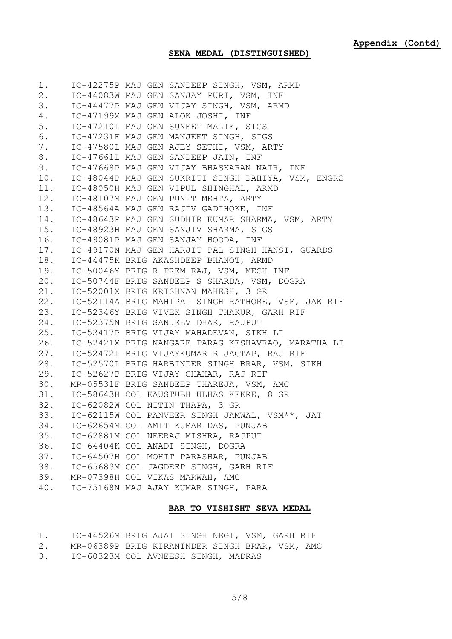# **SENA MEDAL (DISTINGUISHED)**

| 1.    |  | IC-42275P MAJ GEN SANDEEP SINGH, VSM, ARMD         |
|-------|--|----------------------------------------------------|
| $2$ . |  | IC-44083W MAJ GEN SANJAY PURI, VSM, INF            |
| 3.    |  | IC-44477P MAJ GEN VIJAY SINGH, VSM, ARMD           |
| 4.    |  | IC-47199X MAJ GEN ALOK JOSHI, INF                  |
| $5$ . |  | IC-47210L MAJ GEN SUNEET MALIK, SIGS               |
| 6.    |  | IC-47231F MAJ GEN MANJEET SINGH, SIGS              |
| 7.    |  | IC-47580L MAJ GEN AJEY SETHI, VSM, ARTY            |
| 8.    |  | IC-47661L MAJ GEN SANDEEP JAIN, INF                |
| 9.    |  | IC-47668P MAJ GEN VIJAY BHASKARAN NAIR, INF        |
| 10.   |  | IC-48044P MAJ GEN SUKRITI SINGH DAHIYA, VSM, ENGRS |
| 11.   |  | IC-48050H MAJ GEN VIPUL SHINGHAL, ARMD             |
| 12.   |  | IC-48107M MAJ GEN PUNIT MEHTA, ARTY                |
| 13.   |  | IC-48564A MAJ GEN RAJIV GADIHOKE, INF              |
| 14.   |  | IC-48643P MAJ GEN SUDHIR KUMAR SHARMA, VSM, ARTY   |
| 15.   |  | IC-48923H MAJ GEN SANJIV SHARMA, SIGS              |
| 16.   |  | IC-49081P MAJ GEN SANJAY HOODA, INF                |
| 17.   |  | IC-49170N MAJ GEN HARJIT PAL SINGH HANSI, GUARDS   |
| 18.   |  | IC-44475K BRIG AKASHDEEP BHANOT, ARMD              |
| 19.   |  | IC-50046Y BRIG R PREM RAJ, VSM, MECH INF           |
| 20.   |  | IC-50744F BRIG SANDEEP S SHARDA, VSM, DOGRA        |
| 21.   |  | IC-52001X BRIG KRISHNAN MAHESH, 3 GR               |
| 22.   |  | IC-52114A BRIG MAHIPAL SINGH RATHORE, VSM, JAK RIF |
| 23.   |  | IC-52346Y BRIG VIVEK SINGH THAKUR, GARH RIF        |
| 24.   |  | IC-52375N BRIG SANJEEV DHAR, RAJPUT                |
| 25.   |  | IC-52417P BRIG VIJAY MAHADEVAN, SIKH LI            |
| 26.   |  | IC-52421X BRIG NANGARE PARAG KESHAVRAO, MARATHA LI |
| 27.   |  | IC-52472L BRIG VIJAYKUMAR R JAGTAP, RAJ RIF        |
| 28.   |  | IC-52570L BRIG HARBINDER SINGH BRAR, VSM, SIKH     |
| 29.   |  | IC-52627P BRIG VIJAY CHAHAR, RAJ RIF               |
|       |  | 30. MR-05531F BRIG SANDEEP THAREJA, VSM, AMC       |
|       |  | 31. IC-58643H COL KAUSTUBH ULHAS KEKRE, 8 GR       |
|       |  | 32. IC-62082W COL NITIN THAPA, 3 GR                |
|       |  | 33. IC-62115W COL RANVEER SINGH JAMWAL, VSM**, JAT |
|       |  | 34. IC-62654M COL AMIT KUMAR DAS, PUNJAB           |
|       |  | 35. IC-62881M COL NEERAJ MISHRA, RAJPUT            |
|       |  | 36. IC-64404K COL ANADI SINGH, DOGRA               |
|       |  | 37. IC-64507H COL MOHIT PARASHAR, PUNJAB           |
|       |  | 38. IC-65683M COL JAGDEEP SINGH, GARH RIF          |
|       |  | 39. MR-07398H COL VIKAS MARWAH, AMC                |
|       |  | 40. IC-75168N MAJ AJAY KUMAR SINGH, PARA           |
|       |  |                                                    |

## **BAR TO VISHISHT SEVA MEDAL**

| 1. | IC-44526M BRIG AJAI SINGH NEGI, VSM, GARH RIF  |  |  |  |  |
|----|------------------------------------------------|--|--|--|--|
| 2. | MR-06389P BRIG KIRANINDER SINGH BRAR, VSM, AMC |  |  |  |  |
| 3. | IC-60323M COL AVNEESH SINGH, MADRAS            |  |  |  |  |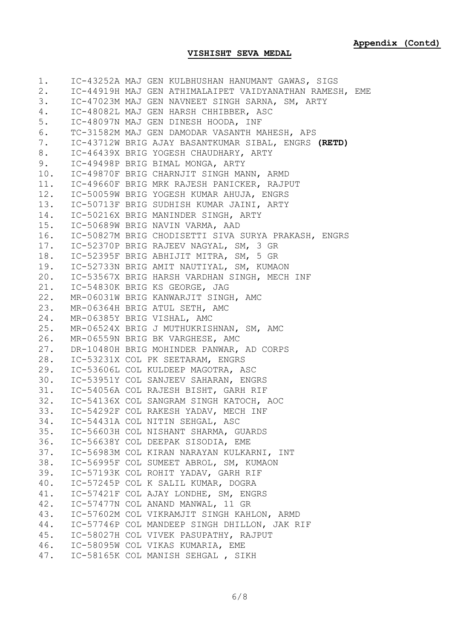# **VISHISHT SEVA MEDAL**

|     | 1. IC-43252A MAJ GEN KULBHUSHAN HANUMANT GAWAS, SIGS    |
|-----|---------------------------------------------------------|
| 2.  | IC-44919H MAJ GEN ATHIMALAIPET VAIDYANATHAN RAMESH, EME |
| 3.  | IC-47023M MAJ GEN NAVNEET SINGH SARNA, SM, ARTY         |
| 4.  | IC-48082L MAJ GEN HARSH CHHIBBER, ASC                   |
| 5.  | IC-48097N MAJ GEN DINESH HOODA, INF                     |
| 6.  | TC-31582M MAJ GEN DAMODAR VASANTH MAHESH, APS           |
| 7.  | IC-43712W BRIG AJAY BASANTKUMAR SIBAL, ENGRS (RETD)     |
| 8.  | IC-46439X BRIG YOGESH CHAUDHARY, ARTY                   |
| 9.  | IC-49498P BRIG BIMAL MONGA, ARTY                        |
|     | 10. IC-49870F BRIG CHARNJIT SINGH MANN, ARMD            |
|     | 11. IC-49660F BRIG MRK RAJESH PANICKER, RAJPUT          |
|     | 12. IC-50059W BRIG YOGESH KUMAR AHUJA, ENGRS            |
|     | 13. IC-50713F BRIG SUDHISH KUMAR JAINI, ARTY            |
|     | 14. IC-50216X BRIG MANINDER SINGH, ARTY                 |
|     | 15. IC-50689W BRIG NAVIN VARMA, AAD                     |
|     | 16. IC-50827M BRIG CHODISETTI SIVA SURYA PRAKASH, ENGRS |
|     | 17. IC-52370P BRIG RAJEEV NAGYAL, SM, 3 GR              |
|     | 18. IC-52395F BRIG ABHIJIT MITRA, SM, 5 GR              |
|     | 19. IC-52733N BRIG AMIT NAUTIYAL, SM, KUMAON            |
|     | 20. IC-53567X BRIG HARSH VARDHAN SINGH, MECH INF        |
|     | 21. IC-54830K BRIG KS GEORGE, JAG                       |
|     | 22. MR-06031W BRIG KANWARJIT SINGH, AMC                 |
|     | 23. MR-06364H BRIG ATUL SETH, AMC                       |
|     | 24. MR-06385Y BRIG VISHAL, AMC                          |
|     | 25. MR-06524X BRIG J MUTHUKRISHNAN, SM, AMC             |
|     | 26. MR-06559N BRIG BK VARGHESE, AMC                     |
|     | 27. DR-10480H BRIG MOHINDER PANWAR, AD CORPS            |
|     | 28. IC-53231X COL PK SEETARAM, ENGRS                    |
|     | 29. IC-53606L COL KULDEEP MAGOTRA, ASC                  |
|     | 30. IC-53951Y COL SANJEEV SAHARAN, ENGRS                |
|     | 31. IC-54056A COL RAJESH BISHT, GARH RIF                |
|     | 32. IC-54136X COL SANGRAM SINGH KATOCH, AOC             |
| 33. | IC-54292F COL RAKESH YADAV, MECH INF                    |
|     | 34. IC-54431A COL NITIN SEHGAL, ASC                     |
|     | 35. IC-56603H COL NISHANT SHARMA, GUARDS                |
|     | 36. IC-56638Y COL DEEPAK SISODIA, EME                   |
|     | 37. IC-56983M COL KIRAN NARAYAN KULKARNI, INT           |
|     | 38. IC-56995F COL SUMEET ABROL, SM, KUMAON              |
|     | 39. IC-57193K COL ROHIT YADAV, GARH RIF                 |
|     | 40. IC-57245P COL K SALIL KUMAR, DOGRA                  |
|     | 41. IC-57421F COL AJAY LONDHE, SM, ENGRS                |
|     | 42. IC-57477N COL ANAND MANWAL, 11 GR                   |
|     | 43. IC-57602M COL VIKRAMJIT SINGH KAHLON, ARMD          |
|     | 44. IC-57746P COL MANDEEP SINGH DHILLON, JAK RIF        |
|     | 45. IC-58027H COL VIVEK PASUPATHY, RAJPUT               |
|     | 46. IC-58095W COL VIKAS KUMARIA, EME                    |
|     | 47. IC-58165K COL MANISH SEHGAL, SIKH                   |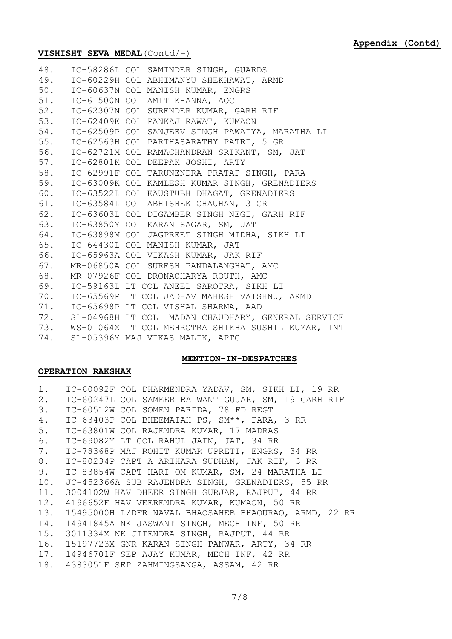## **VISHISHT SEVA MEDAL**(Contd/-)

|  | 48. IC-58286L COL SAMINDER SINGH, GUARDS               |
|--|--------------------------------------------------------|
|  | 49. IC-60229H COL ABHIMANYU SHEKHAWAT, ARMD            |
|  | 50. IC-60637N COL MANISH KUMAR, ENGRS                  |
|  | 51. IC-61500N COL AMIT KHANNA, AOC                     |
|  | 52. IC-62307N COL SURENDER KUMAR, GARH RIF             |
|  | 53. IC-62409K COL PANKAJ RAWAT, KUMAON                 |
|  | 54. IC-62509P COL SANJEEV SINGH PAWAIYA, MARATHA LI    |
|  | 55. IC-62563H COL PARTHASARATHY PATRI, 5 GR            |
|  | 56. IC-62721M COL RAMACHANDRAN SRIKANT, SM, JAT        |
|  | 57. IC-62801K COL DEEPAK JOSHI, ARTY                   |
|  | 58. IC-62991F COL TARUNENDRA PRATAP SINGH, PARA        |
|  | 59. IC-63009K COL KAMLESH KUMAR SINGH, GRENADIERS      |
|  | 60. IC-63522L COL KAUSTUBH DHAGAT, GRENADIERS          |
|  | 61. IC-63584L COL ABHISHEK CHAUHAN, 3 GR               |
|  | 62. IC-63603L COL DIGAMBER SINGH NEGI, GARH RIF        |
|  | 63. IC-63850Y COL KARAN SAGAR, SM, JAT                 |
|  | 64. IC-63898M COL JAGPREET SINGH MIDHA, SIKH LI        |
|  | 65. IC-64430L COL MANISH KUMAR, JAT                    |
|  | 66. IC-65963A COL VIKASH KUMAR, JAK RIF                |
|  | 67. MR-06850A COL SURESH PANDALANGHAT, AMC             |
|  | 68. MR-07926F COL DRONACHARYA ROUTH, AMC               |
|  | 69. IC-59163L LT COL ANEEL SAROTRA, SIKH LI            |
|  | 70. IC-65569P LT COL JADHAV MAHESH VAISHNU, ARMD       |
|  | 71. IC-65698P LT COL VISHAL SHARMA, AAD                |
|  | 72. SL-04968H LT COL MADAN CHAUDHARY, GENERAL SERVICE  |
|  | 73. WS-01064X LT COL MEHROTRA SHIKHA SUSHIL KUMAR, INT |
|  | 74. SL-05396Y MAJ VIKAS MALIK, APTC                    |

## **MENTION-IN-DESPATCHES**

## **OPERATION RAKSHAK**

| 1. IC-60092F COL DHARMENDRA YADAV, SM, SIKH LI, 19 RR     |
|-----------------------------------------------------------|
| 2. IC-60247L COL SAMEER BALWANT GUJAR, SM, 19 GARH RIF    |
| 3. IC-60512W COL SOMEN PARIDA, 78 FD REGT                 |
| 4. IC-63403P COL BHEEMAIAH PS, SM**, PARA, 3 RR           |
| 5. IC-63801W COL RAJENDRA KUMAR, 17 MADRAS                |
| 6. IC-69082Y LT COL RAHUL JAIN, JAT, 34 RR                |
| 7. IC-78368P MAJ ROHIT KUMAR UPRETI, ENGRS, 34 RR         |
| 8. IC-80234P CAPT A ARIHARA SUDHAN, JAK RIF, 3 RR         |
| 9. IC-83854W CAPT HARI OM KUMAR, SM, 24 MARATHA LI        |
| 10. JC-452366A SUB RAJENDRA SINGH, GRENADIERS, 55 RR      |
| 11. 3004102W HAV DHEER SINGH GURJAR, RAJPUT, 44 RR        |
| 12. 4196652F HAV VEERENDRA KUMAR, KUMAON, 50 RR           |
| 13. 15495000H L/DFR NAVAL BHAOSAHEB BHAOURAO, ARMD, 22 RR |
| 14. 14941845A NK JASWANT SINGH, MECH INF, 50 RR           |
| 15. 3011334X NK JITENDRA SINGH, RAJPUT, 44 RR             |
| 16. 15197723X GNR KARAN SINGH PANWAR, ARTY, 34 RR         |
| 17. 14946701F SEP AJAY KUMAR, MECH INF, 42 RR             |
| 18. 4383051F SEP ZAHMINGSANGA, ASSAM, 42 RR               |